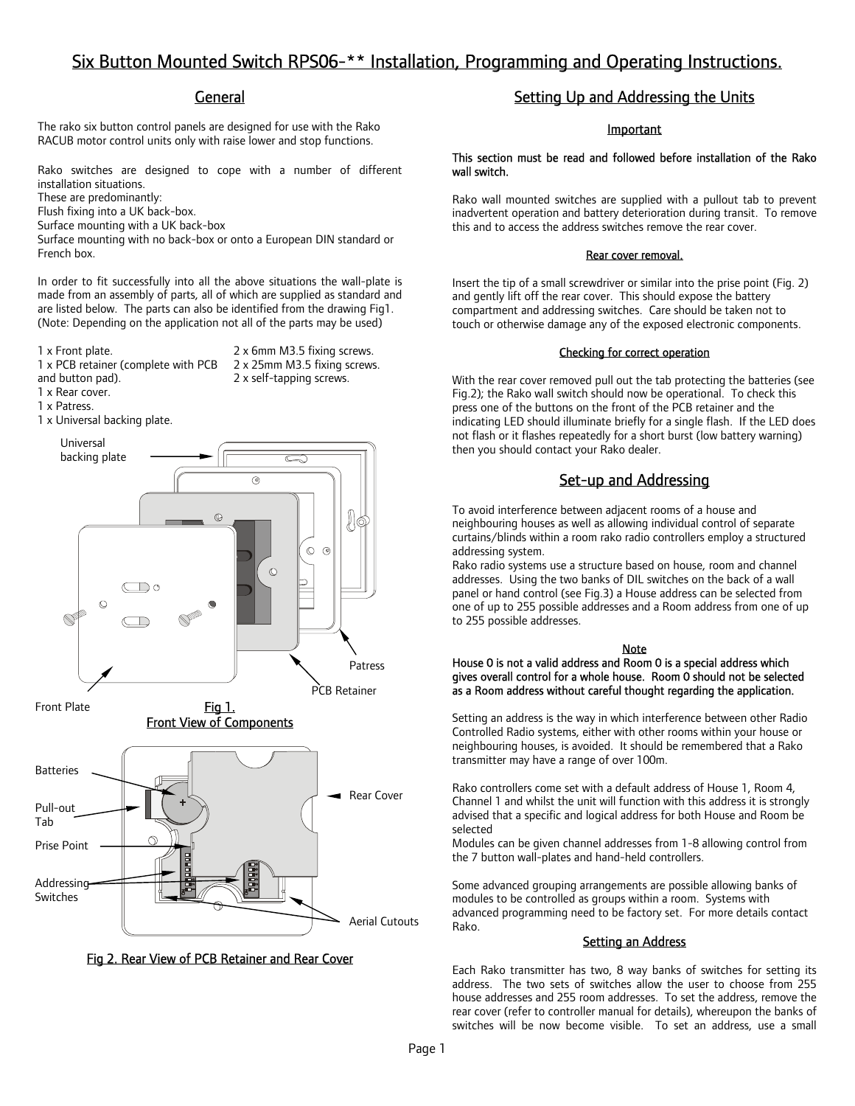# Six Button Mounted Switch RPS06-\*\* Installation, Programming and Operating Instructions.

## **General**

The rako six button control panels are designed for use with the Rako RACUB motor control units only with raise lower and stop functions.

Rako switches are designed to cope with a number of different installation situations.

These are predominantly:

Flush fixing into a UK back-box.

Surface mounting with a UK back-box

Surface mounting with no back-box or onto a European DIN standard or French box.

In order to fit successfully into all the above situations the wall-plate is made from an assembly of parts, all of which are supplied as standard and are listed below. The parts can also be identified from the drawing Fig1. (Note: Depending on the application not all of the parts may be used)

1 x PCB retainer (complete with PCB

1 x Front plate. 2 x 6mm M3.5 fixing screws. 2 x 25mm M3.5 fixing screws. 2 x self-tapping screws.

1 x Rear cover.

and button pad).

1 x Patress.

1 x Universal backing plate.



Fig 1. Front View of Components



Fig 2. Rear View of PCB Retainer and Rear Cover

# Setting Up and Addressing the Units

## Important

This section must be read and followed before installation of the Rako wall switch.

Rako wall mounted switches are supplied with a pullout tab to prevent inadvertent operation and battery deterioration during transit. To remove this and to access the address switches remove the rear cover.

### Rear cover removal.

Insert the tip of a small screwdriver or similar into the prise point (Fig. 2) and gently lift off the rear cover. This should expose the battery compartment and addressing switches. Care should be taken not to touch or otherwise damage any of the exposed electronic components.

## Checking for correct operation

With the rear cover removed pull out the tab protecting the batteries (see Fig.2); the Rako wall switch should now be operational. To check this press one of the buttons on the front of the PCB retainer and the indicating LED should illuminate briefly for a single flash. If the LED does not flash or it flashes repeatedly for a short burst (low battery warning) then you should contact your Rako dealer.

# Set-up and Addressing

To avoid interference between adjacent rooms of a house and neighbouring houses as well as allowing individual control of separate curtains/blinds within a room rako radio controllers employ a structured addressing system.

Rako radio systems use a structure based on house, room and channel addresses. Using the two banks of DIL switches on the back of a wall panel or hand control (see Fig.3) a House address can be selected from one of up to 255 possible addresses and a Room address from one of up to 255 possible addresses.

## Note

#### House 0 is not a valid address and Room 0 is a special address which gives overall control for a whole house. Room 0 should not be selected as a Room address without careful thought regarding the application.

Setting an address is the way in which interference between other Radio Controlled Radio systems, either with other rooms within your house or neighbouring houses, is avoided. It should be remembered that a Rako transmitter may have a range of over 100m.

Rako controllers come set with a default address of House 1, Room 4, Channel 1 and whilst the unit will function with this address it is strongly advised that a specific and logical address for both House and Room be selected

Modules can be given channel addresses from 1-8 allowing control from the 7 button wall-plates and hand-held controllers.

Some advanced grouping arrangements are possible allowing banks of modules to be controlled as groups within a room. Systems with advanced programming need to be factory set. For more details contact Rako.

## **Setting an Address**

Each Rako transmitter has two, 8 way banks of switches for setting its address. The two sets of switches allow the user to choose from 255 house addresses and 255 room addresses. To set the address, remove the rear cover (refer to controller manual for details), whereupon the banks of switches will be now become visible. To set an address, use a small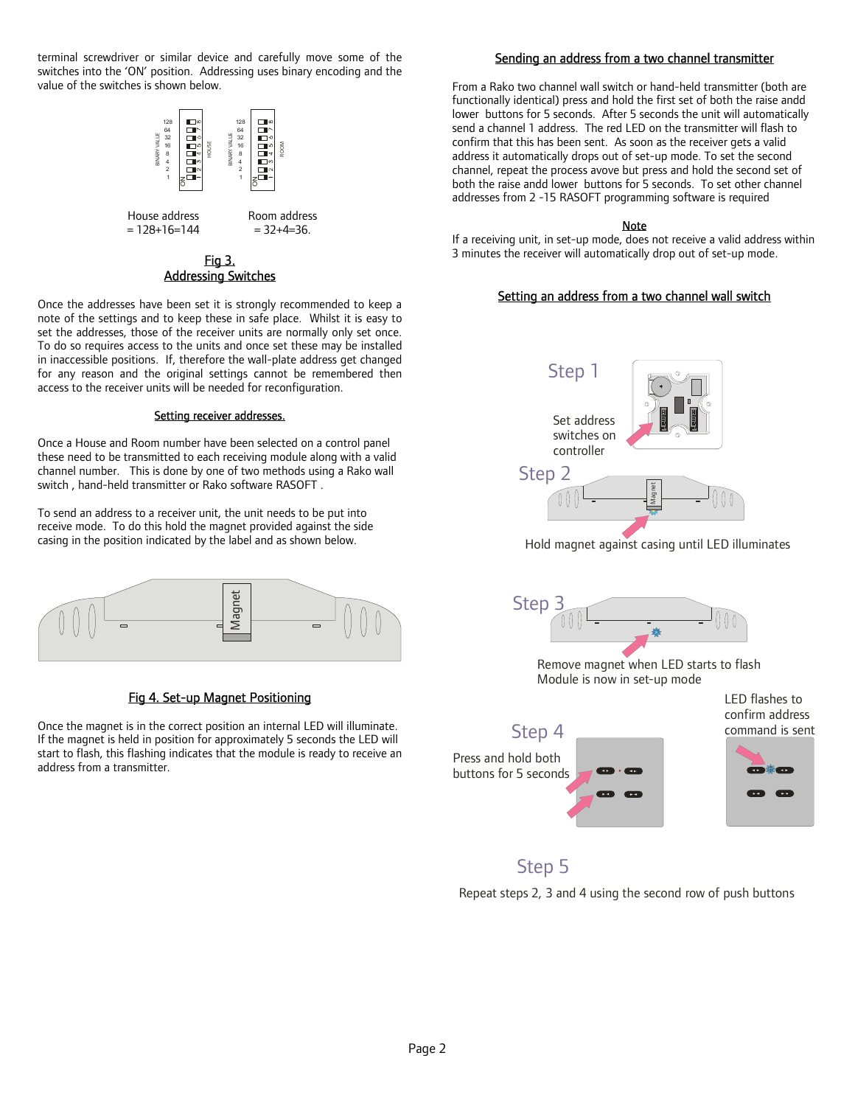terminal screwdriver or similar device and carefully move some of the switches into the 'ON' position. Addressing uses binary encoding and the value of the switches is shown below.



## Fig 3. Addressing Switches

Once the addresses have been set it is strongly recommended to keep a note of the settings and to keep these in safe place. Whilst it is easy to set the addresses, those of the receiver units are normally only set once. To do so requires access to the units and once set these may be installed in inaccessible positions. If, therefore the wall-plate address get changed for any reason and the original settings cannot be remembered then access to the receiver units will be needed for reconfiguration.

## Setting receiver addresses.

Once a House and Room number have been selected on a control panel these need to be transmitted to each receiving module along with a valid channel number. This is done by one of two methods using a Rako wall switch , hand-held transmitter or Rako software RASOFT .

To send an address to a receiver unit, the unit needs to be put into receive mode. To do this hold the magnet provided against the side casing in the position indicated by the label and as shown below.



## Fig 4. Set-up Magnet Positioning

Once the magnet is in the correct position an internal LED will illuminate. If the magnet is held in position for approximately 5 seconds the LED will start to flash, this flashing indicates that the module is ready to receive an address from a transmitter.

## Sending an address from a two channel transmitter

From a Rako two channel wall switch or hand-held transmitter (both are functionally identical) press and hold the first set of both the raise andd lower buttons for 5 seconds. After 5 seconds the unit will automatically send a channel 1 address. The red LED on the transmitter will flash to confirm that this has been sent. As soon as the receiver gets a valid address it automatically drops out of set-up mode. To set the second channel, repeat the process avove but press and hold the second set of both the raise andd lower buttons for 5 seconds. To set other channel addresses from 2 -15 RASOFT programming software is required

## Note

If a receiving unit, in set-up mode, does not receive a valid address within 3 minutes the receiver will automatically drop out of set-up mode.

## Setting an address from a two channel wall switch



Hold magnet against casing until LED illuminates



Remove magnet when LED starts to flash Module is now in set-up mode



# Step 5

Repeat steps 2, 3 and 4 using the second row of push buttons